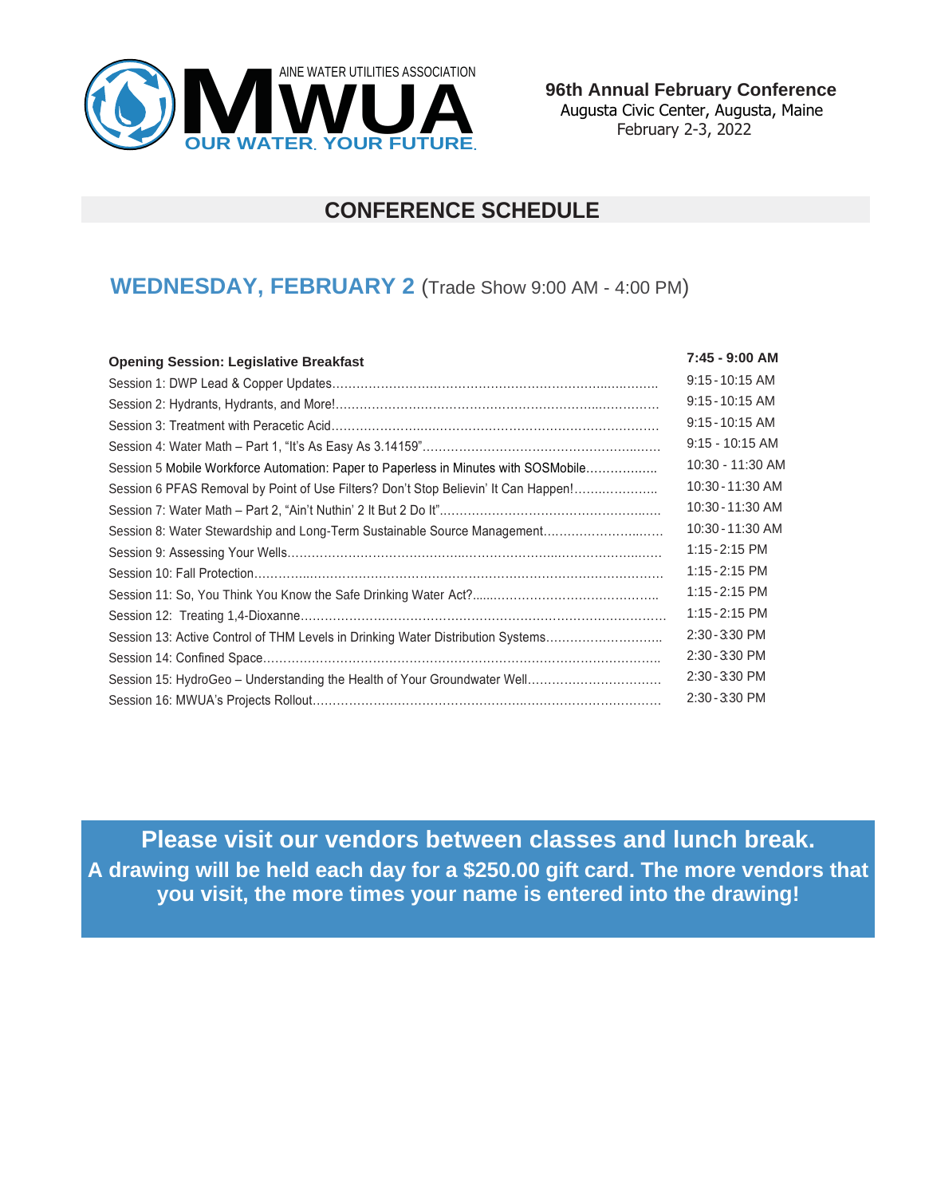

 **96th Annual February Conference** Augusta Civic Center, Augusta, Maine February 2-3, 2022

## **CONFERENCE SCHEDULE**

### **WEDNESDAY, FEBRUARY 2** (Trade Show 9:00 AM - 4:00 PM)

| <b>Opening Session: Legislative Breakfast</b>                                       | 7:45 - 9:00 AM    |
|-------------------------------------------------------------------------------------|-------------------|
|                                                                                     | $9:15 - 10:15$ AM |
|                                                                                     | $9:15 - 10:15$ AM |
|                                                                                     | $9:15 - 10:15$ AM |
|                                                                                     | $9:15 - 10:15$ AM |
| Session 5 Mobile Workforce Automation: Paper to Paperless in Minutes with SOSMobile | 10:30 - 11:30 AM  |
| Session 6 PFAS Removal by Point of Use Filters? Don't Stop Believin' It Can Happen! | 10:30 - 11:30 AM  |
|                                                                                     | 10:30 - 11:30 AM  |
| Session 8: Water Stewardship and Long-Term Sustainable Source Management            | 10:30 - 11:30 AM  |
|                                                                                     | $1:15 - 2:15$ PM  |
|                                                                                     | 1:15 - 2:15 PM    |
|                                                                                     | 1:15 - 2:15 PM    |
|                                                                                     | $1:15 - 2:15$ PM  |
| Session 13: Active Control of THM Levels in Drinking Water Distribution Systems     | 2:30 - 3:30 PM    |
|                                                                                     | 2:30 - 3:30 PM    |
|                                                                                     | 2:30 - 3:30 PM    |
|                                                                                     | 2:30 - 3:30 PM    |

**Please visit our vendors between classes and lunch break. A drawing will be held each day for a \$250.00 gift card. The more vendors that you visit, the more times your name is entered into the drawing!**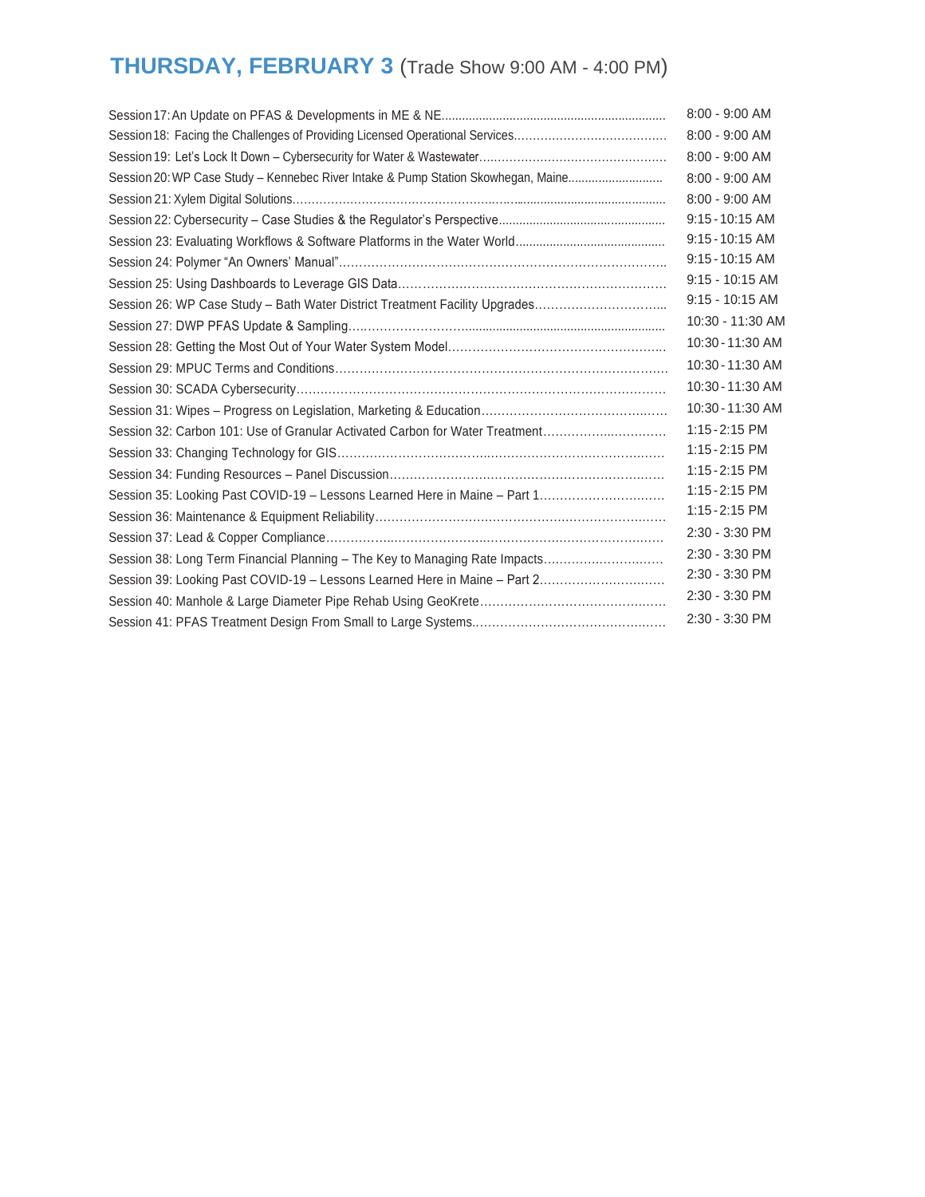# **THURSDAY, FEBRUARY 3** (Trade Show 9:00 AM - 4:00 PM)

|                                                                                   | 8:00 - 9:00 AM    |
|-----------------------------------------------------------------------------------|-------------------|
|                                                                                   | 8:00 - 9:00 AM    |
|                                                                                   | 8:00 - 9:00 AM    |
| Session 20: WP Case Study - Kennebec River Intake & Pump Station Skowhegan, Maine | 8:00 - 9:00 AM    |
|                                                                                   | $8:00 - 9:00$ AM  |
|                                                                                   | $9:15 - 10:15$ AM |
|                                                                                   | $9:15 - 10:15$ AM |
|                                                                                   | $9:15 - 10:15$ AM |
|                                                                                   | $9:15 - 10:15$ AM |
| Session 26: WP Case Study - Bath Water District Treatment Facility Upgrades       | $9:15 - 10:15$ AM |
|                                                                                   | 10:30 - 11:30 AM  |
|                                                                                   | 10:30 - 11:30 AM  |
|                                                                                   | 10:30 - 11:30 AM  |
|                                                                                   | 10:30 - 11:30 AM  |
|                                                                                   | 10:30 - 11:30 AM  |
| Session 32: Carbon 101: Use of Granular Activated Carbon for Water Treatment      | $1:15 - 2:15$ PM  |
|                                                                                   | $1:15 - 2:15$ PM  |
|                                                                                   | $1:15 - 2:15$ PM  |
| Session 35: Looking Past COVID-19 - Lessons Learned Here in Maine - Part 1        | 1:15 - 2:15 PM    |
|                                                                                   | 1:15 - 2:15 PM    |
|                                                                                   | 2:30 - 3:30 PM    |
| Session 38: Long Term Financial Planning - The Key to Managing Rate Impacts       | 2:30 - 3:30 PM    |
| Session 39: Looking Past COVID-19 - Lessons Learned Here in Maine - Part 2        | 2:30 - 3:30 PM    |
|                                                                                   | 2:30 - 3:30 PM    |
|                                                                                   | 2:30 - 3:30 PM    |
|                                                                                   |                   |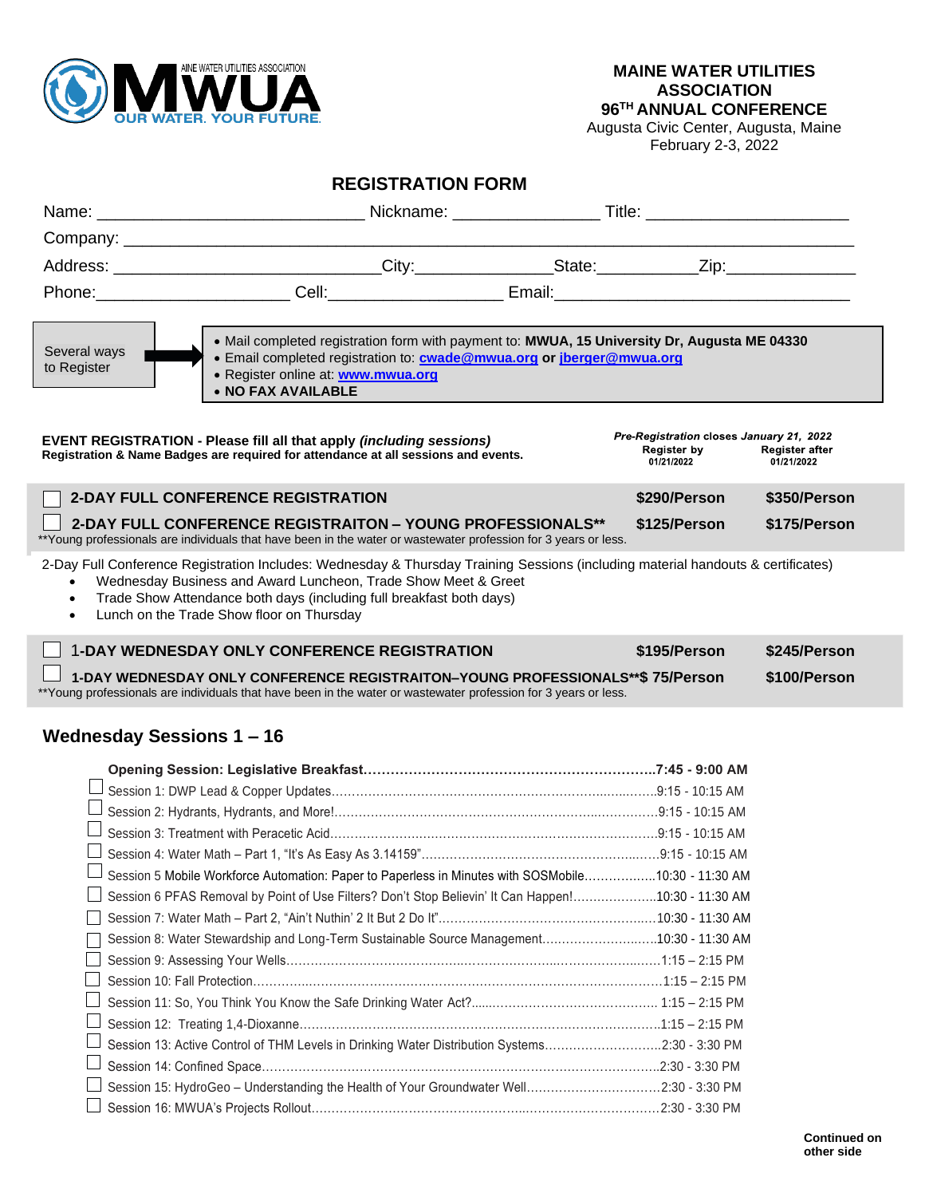

Augusta Civic Center, Augusta, Maine February 2-3, 2022

### **REGISTRATION FORM**

| Name:                          |                                                                                                                                                                                                                                          |                                                                              |                              |
|--------------------------------|------------------------------------------------------------------------------------------------------------------------------------------------------------------------------------------------------------------------------------------|------------------------------------------------------------------------------|------------------------------|
|                                |                                                                                                                                                                                                                                          |                                                                              |                              |
|                                | Address: ________________________________City:_________________State:____________Zip:_______________                                                                                                                                     |                                                                              |                              |
|                                | Phone: Cell: Cell: Email: Email:                                                                                                                                                                                                         |                                                                              |                              |
| Several ways<br>to Register    | . Mail completed registration form with payment to: MWUA, 15 University Dr, Augusta ME 04330<br>• Email completed registration to: <b>cwade@mwua.org or jberger@mwua.org</b><br>• Register online at: www.mwua.org<br>• NO FAX AVAILABLE |                                                                              |                              |
|                                | <b>EVENT REGISTRATION - Please fill all that apply (including sessions)</b><br>Registration & Name Badges are required for attendance at all sessions and events.                                                                        | Pre-Registration closes January 21, 2022<br><b>Register by</b><br>01/21/2022 | Register after<br>01/21/2022 |
|                                | <b>2-DAY FULL CONFERENCE REGISTRATION</b>                                                                                                                                                                                                | \$290/Person                                                                 | \$350/Person                 |
|                                | 2-DAY FULL CONFERENCE REGISTRAITON - YOUNG PROFESSIONALS**<br>**Young professionals are individuals that have been in the water or wastewater profession for 3 years or less.                                                            | \$125/Person                                                                 | \$175/Person                 |
| $\bullet$<br>$\bullet$         | Trade Show Attendance both days (including full breakfast both days)<br>Lunch on the Trade Show floor on Thursday<br><b>1-DAY WEDNESDAY ONLY CONFERENCE REGISTRATION</b>                                                                 | \$195/Person                                                                 | \$245/Person                 |
|                                | 1-DAY WEDNESDAY ONLY CONFERENCE REGISTRAITON-YOUNG PROFESSIONALS**\$ 75/Person                                                                                                                                                           |                                                                              | \$100/Person                 |
|                                | ** Young professionals are individuals that have been in the water or wastewater profession for 3 years or less.                                                                                                                         |                                                                              |                              |
| <b>Wednesday Sessions 1-16</b> |                                                                                                                                                                                                                                          |                                                                              |                              |
|                                |                                                                                                                                                                                                                                          |                                                                              |                              |
|                                |                                                                                                                                                                                                                                          |                                                                              |                              |
|                                |                                                                                                                                                                                                                                          |                                                                              |                              |
|                                |                                                                                                                                                                                                                                          |                                                                              |                              |
|                                |                                                                                                                                                                                                                                          |                                                                              |                              |
|                                | Session 5 Mobile Workforce Automation: Paper to Paperless in Minutes with SOSMobile10:30 - 11:30 AM                                                                                                                                      |                                                                              |                              |
|                                | Session 6 PFAS Removal by Point of Use Filters? Don't Stop Believin' It Can Happen!10:30 - 11:30 AM                                                                                                                                      |                                                                              |                              |
|                                |                                                                                                                                                                                                                                          |                                                                              |                              |
|                                | Session 8: Water Stewardship and Long-Term Sustainable Source Management10:30 - 11:30 AM                                                                                                                                                 |                                                                              |                              |
|                                |                                                                                                                                                                                                                                          |                                                                              |                              |
|                                |                                                                                                                                                                                                                                          |                                                                              |                              |
|                                |                                                                                                                                                                                                                                          |                                                                              |                              |
|                                |                                                                                                                                                                                                                                          |                                                                              |                              |
|                                | Session 13: Active Control of THM Levels in Drinking Water Distribution Systems2:30 - 3:30 PM                                                                                                                                            |                                                                              |                              |
|                                |                                                                                                                                                                                                                                          |                                                                              |                              |
|                                | Session 15: HydroGeo - Understanding the Health of Your Groundwater Well2:30 - 3:30 PM                                                                                                                                                   |                                                                              |                              |

Session 16: MWUA's Projects Rollout……………………………………………..……………………………2:30 - 3:30 PM